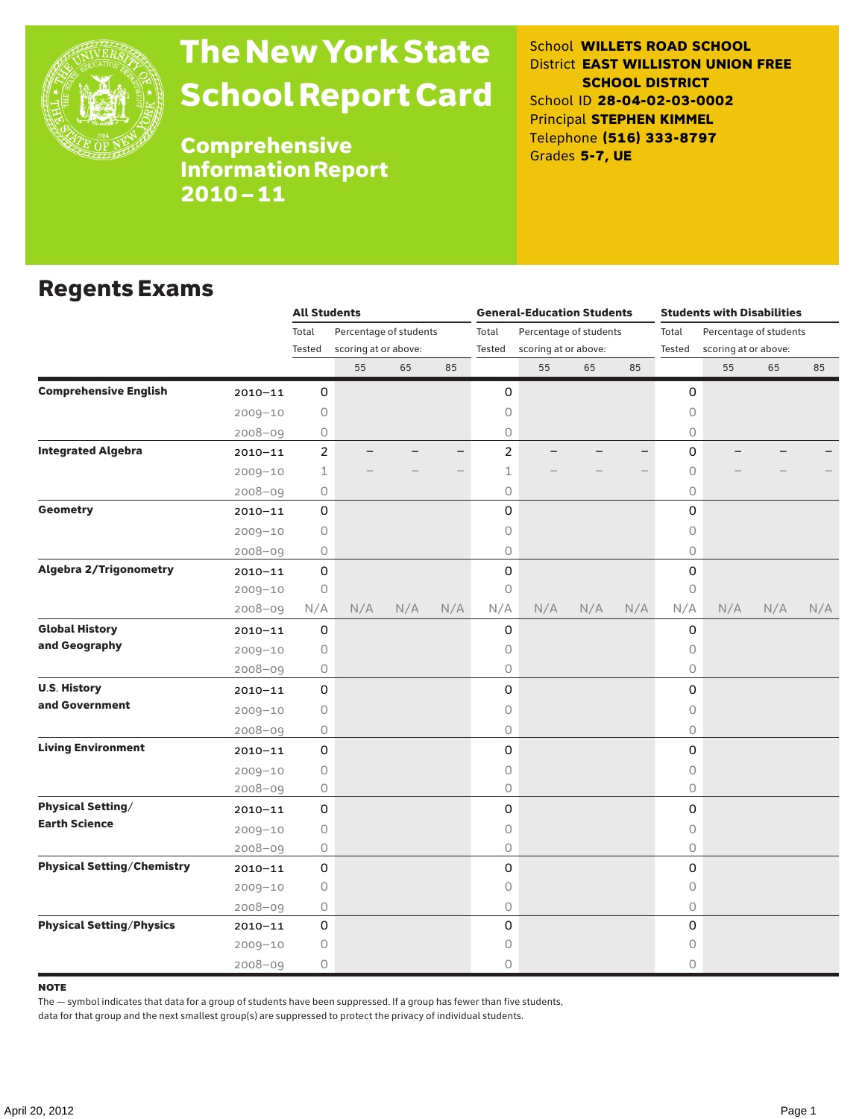

# The New York State School Report Card

School **WILLETS ROAD SCHOOL** District **EAST WILLISTON UNION FREE SCHOOL DISTRICT** School ID **28-04-02-03-0002** Principal **STEPHEN KIMMEL** Telephone **(516) 333-8797** Grades **5-7, UE**

Comprehensive Information Report 2010–11

### Regents Exams

|                                   |             | <b>All Students</b>             |                      |     |     |                | <b>General-Education Students</b> |                        |     | <b>Students with Disabilities</b> |                      |     |     |  |
|-----------------------------------|-------------|---------------------------------|----------------------|-----|-----|----------------|-----------------------------------|------------------------|-----|-----------------------------------|----------------------|-----|-----|--|
|                                   |             | Total<br>Percentage of students |                      |     |     | Total          |                                   | Percentage of students |     | Total<br>Percentage of students   |                      |     |     |  |
|                                   |             | Tested                          | scoring at or above: |     |     | Tested         | scoring at or above:              |                        |     | Tested                            | scoring at or above: |     |     |  |
|                                   |             |                                 | 55                   | 65  | 85  |                | 55                                | 65                     | 85  |                                   | 55                   | 65  | 85  |  |
| <b>Comprehensive English</b>      | $2010 - 11$ | 0                               |                      |     |     | 0              |                                   |                        |     | 0                                 |                      |     |     |  |
|                                   | $2009 - 10$ | 0                               |                      |     |     | 0              |                                   |                        |     | 0                                 |                      |     |     |  |
|                                   | $2008 - 09$ | 0                               |                      |     |     | 0              |                                   |                        |     | 0                                 |                      |     |     |  |
| <b>Integrated Algebra</b>         | $2010 - 11$ | $\overline{c}$                  |                      |     |     | $\overline{c}$ |                                   |                        |     | 0                                 |                      |     |     |  |
|                                   | $2009 - 10$ | 1                               |                      |     |     | 1              |                                   |                        |     | 0                                 |                      |     |     |  |
|                                   | $2008 - 09$ | 0                               |                      |     |     | 0              |                                   |                        |     | $\bigcirc$                        |                      |     |     |  |
| Geometry                          | 2010-11     | 0                               |                      |     |     | 0              |                                   |                        |     | 0                                 |                      |     |     |  |
|                                   | $2009 - 10$ | 0                               |                      |     |     | 0              |                                   |                        |     | 0                                 |                      |     |     |  |
|                                   | $2008 - 09$ | 0                               |                      |     |     | 0              |                                   |                        |     | 0                                 |                      |     |     |  |
| <b>Algebra 2/Trigonometry</b>     | $2010 - 11$ | 0                               |                      |     |     | 0              |                                   |                        |     | $\mathsf O$                       |                      |     |     |  |
|                                   | $2009 - 10$ | 0                               |                      |     |     | 0              |                                   |                        |     | $\circ$                           |                      |     |     |  |
|                                   | $2008 - 09$ | N/A                             | N/A                  | N/A | N/A | N/A            | N/A                               | N/A                    | N/A | N/A                               | N/A                  | N/A | N/A |  |
| <b>Global History</b>             | $2010 - 11$ | $\mathsf{O}\xspace$             |                      |     |     | 0              |                                   |                        |     | $\mathsf{O}\xspace$               |                      |     |     |  |
| and Geography                     | $2009 - 10$ | 0                               |                      |     |     | 0              |                                   |                        |     | $\circ$                           |                      |     |     |  |
|                                   | $2008 - 09$ | $\circ$                         |                      |     |     | 0              |                                   |                        |     | $\circ$                           |                      |     |     |  |
| <b>U.S. History</b>               | 2010-11     | 0                               |                      |     |     | 0              |                                   |                        |     | $\mathsf{O}\xspace$               |                      |     |     |  |
| and Government                    | $2009 - 10$ | 0                               |                      |     |     | 0              |                                   |                        |     | $\bigcirc$                        |                      |     |     |  |
|                                   | $2008 - 09$ | 0                               |                      |     |     | 0              |                                   |                        |     | 0                                 |                      |     |     |  |
| <b>Living Environment</b>         | $2010 - 11$ | 0                               |                      |     |     | 0              |                                   |                        |     | $\mathsf O$                       |                      |     |     |  |
|                                   | $2009 - 10$ | 0                               |                      |     |     | 0              |                                   |                        |     | 0                                 |                      |     |     |  |
|                                   | $2008 - 09$ | 0                               |                      |     |     | 0              |                                   |                        |     | $\circ$                           |                      |     |     |  |
| <b>Physical Setting/</b>          | $2010 - 11$ | 0                               |                      |     |     | 0              |                                   |                        |     | 0                                 |                      |     |     |  |
| <b>Earth Science</b>              | $2009 - 10$ | 0                               |                      |     |     | 0              |                                   |                        |     | $\Omega$                          |                      |     |     |  |
|                                   | $2008 - 09$ | 0                               |                      |     |     | 0              |                                   |                        |     | $\circ$                           |                      |     |     |  |
| <b>Physical Setting/Chemistry</b> | $2010 - 11$ | 0                               |                      |     |     | 0              |                                   |                        |     | 0                                 |                      |     |     |  |
|                                   | $2009 - 10$ | 0                               |                      |     |     | 0              |                                   |                        |     | 0                                 |                      |     |     |  |
|                                   | $2008 - 09$ | 0                               |                      |     |     | 0              |                                   |                        |     | $\bigcirc$                        |                      |     |     |  |
| <b>Physical Setting/Physics</b>   | 2010-11     | $\mathsf{O}$                    |                      |     |     | 0              |                                   |                        |     | $\Omega$                          |                      |     |     |  |
|                                   | $2009 - 10$ | 0                               |                      |     |     | 0              |                                   |                        |     | 0                                 |                      |     |     |  |
|                                   | 2008-09     | 0                               |                      |     |     | 0              |                                   |                        |     | $\circ$                           |                      |     |     |  |

#### **NOTE**

The — symbol indicates that data for a group of students have been suppressed. If a group has fewer than five students,

data for that group and the next smallest group(s) are suppressed to protect the privacy of individual students.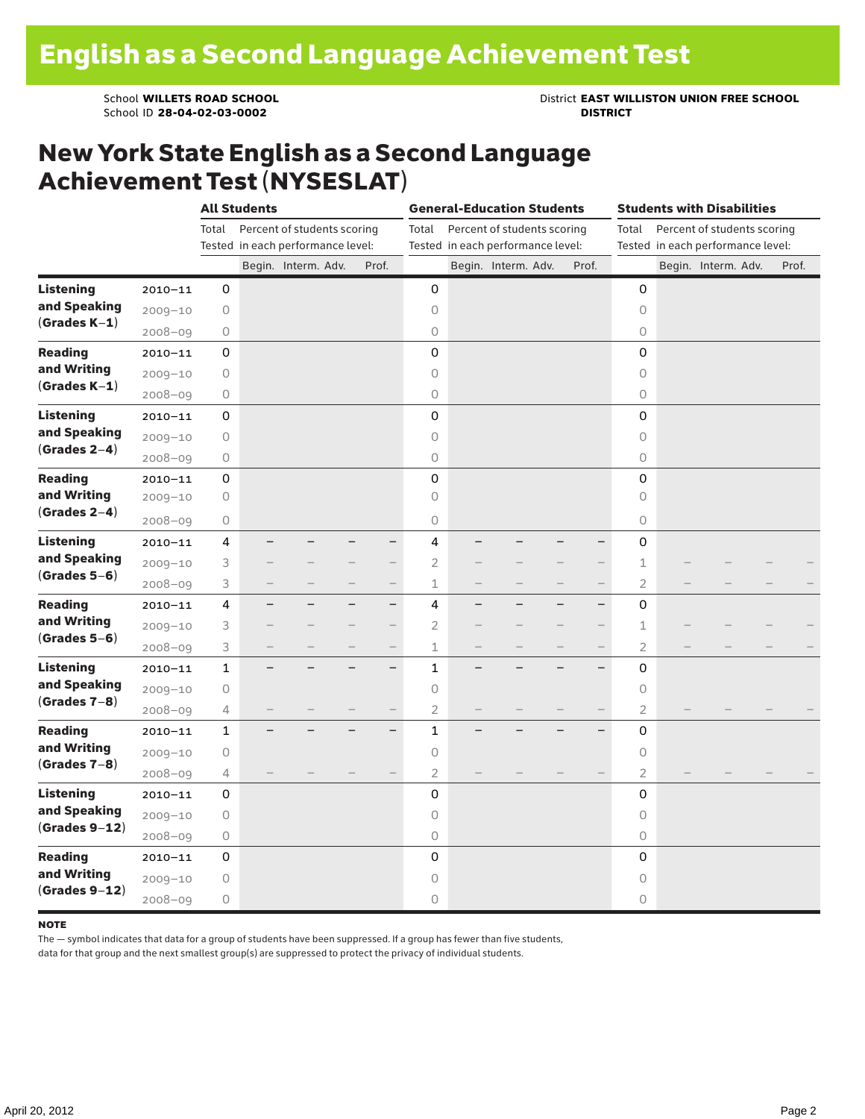School ID 28-04-02-03-0002

School **WILLETS ROAD SCHOOL**<br>School ID 28-04-02-03-0002<br>**DISTRICT** DISTRICT

### New York State English as a Second Language Achievement Test (NYSESLAT)

|                                                     |             |                | <b>All Students</b>         |                                   |  |                          |                                   | <b>General-Education Students</b> | <b>Students with Disabilities</b> |  |                                      |                                   |  |                     |  |       |
|-----------------------------------------------------|-------------|----------------|-----------------------------|-----------------------------------|--|--------------------------|-----------------------------------|-----------------------------------|-----------------------------------|--|--------------------------------------|-----------------------------------|--|---------------------|--|-------|
|                                                     |             | Total          | Percent of students scoring |                                   |  |                          | Total                             |                                   | Percent of students scoring       |  | Percent of students scoring<br>Total |                                   |  |                     |  |       |
|                                                     |             |                |                             | Tested in each performance level: |  |                          | Tested in each performance level: |                                   |                                   |  |                                      | Tested in each performance level: |  |                     |  |       |
|                                                     |             |                |                             | Begin. Interm. Adv.               |  | Prof.                    |                                   |                                   | Begin. Interm. Adv.               |  | Prof.                                |                                   |  | Begin. Interm. Adv. |  | Prof. |
| <b>Listening</b>                                    | $2010 - 11$ | 0              |                             |                                   |  |                          | 0                                 |                                   |                                   |  |                                      | 0                                 |  |                     |  |       |
| and Speaking<br>$(Grades K-1)$                      | $2009 - 10$ | $\bigcirc$     |                             |                                   |  |                          | 0                                 |                                   |                                   |  |                                      | $\circ$                           |  |                     |  |       |
|                                                     | $2008 - 09$ | $\bigcirc$     |                             |                                   |  |                          | $\bigcirc$                        |                                   |                                   |  |                                      | 0                                 |  |                     |  |       |
| <b>Reading</b><br>and Writing<br>$(Grades K-1)$     | $2010 - 11$ | 0              |                             |                                   |  |                          | $\mathbf 0$                       |                                   |                                   |  |                                      | 0                                 |  |                     |  |       |
|                                                     | $2009 - 10$ | $\mathsf O$    |                             |                                   |  |                          | $\circ$                           |                                   |                                   |  |                                      | 0                                 |  |                     |  |       |
|                                                     | $2008 - 09$ | 0              |                             |                                   |  |                          | 0                                 |                                   |                                   |  |                                      | 0                                 |  |                     |  |       |
| <b>Listening</b>                                    | $2010 - 11$ | 0              |                             |                                   |  |                          | $\mathsf 0$                       |                                   |                                   |  |                                      | 0                                 |  |                     |  |       |
| and Speaking                                        | $2009 - 10$ | 0              |                             |                                   |  |                          | $\circ$                           |                                   |                                   |  |                                      | $\circ$                           |  |                     |  |       |
| $(Grades 2-4)$                                      | $2008 - 09$ | $\circ$        |                             |                                   |  |                          | $\circ$                           |                                   |                                   |  |                                      | 0                                 |  |                     |  |       |
| <b>Reading</b>                                      | $2010 - 11$ | 0              |                             |                                   |  |                          | $\mathbf 0$                       |                                   |                                   |  |                                      | $\mathbf 0$                       |  |                     |  |       |
| and Writing                                         | $2009 - 10$ | $\bigcirc$     |                             |                                   |  |                          | 0                                 |                                   |                                   |  |                                      | $\circ$                           |  |                     |  |       |
| $(Grades 2-4)$                                      | $2008 - 09$ | 0              |                             |                                   |  |                          | 0                                 |                                   |                                   |  |                                      | 0                                 |  |                     |  |       |
| <b>Listening</b>                                    | $2010 - 11$ | 4              |                             |                                   |  | $\overline{\phantom{0}}$ | 4                                 |                                   |                                   |  |                                      | 0                                 |  |                     |  |       |
| and Speaking                                        | $2009 - 10$ | 3              |                             |                                   |  | -                        | $\overline{2}$                    |                                   |                                   |  |                                      | $\mathbf 1$                       |  |                     |  |       |
| $(Grades 5-6)$                                      | $2008 - 09$ | 3              |                             |                                   |  | $-$                      | 1                                 |                                   |                                   |  | $\overline{\phantom{0}}$             | 2                                 |  |                     |  |       |
| <b>Reading</b>                                      | $2010 - 11$ | $\overline{4}$ | ÷,                          |                                   |  | -                        | 4                                 | -                                 |                                   |  | -                                    | 0                                 |  |                     |  |       |
| and Writing                                         | $2009 - 10$ | 3              |                             |                                   |  | $\overline{\phantom{0}}$ | $\overline{2}$                    |                                   |                                   |  | $\overline{\phantom{0}}$             | 1                                 |  |                     |  |       |
| $(Grades 5-6)$                                      | $2008 - 09$ | 3              |                             |                                   |  | $\overline{\phantom{0}}$ | $\mathbf 1$                       |                                   |                                   |  |                                      | $\overline{2}$                    |  |                     |  |       |
| <b>Listening</b><br>and Speaking<br>$(Grades 7-8)$  | $2010 - 11$ | $\mathbf 1$    |                             |                                   |  | $-$                      | $\mathbf{1}$                      |                                   |                                   |  |                                      | $\mathbf 0$                       |  |                     |  |       |
|                                                     | $2009 - 10$ | $\bigcirc$     |                             |                                   |  |                          | $\circ$                           |                                   |                                   |  |                                      | $\circ$                           |  |                     |  |       |
|                                                     | $2008 - 09$ | 4              |                             |                                   |  |                          | $\overline{2}$                    |                                   |                                   |  |                                      | 2                                 |  |                     |  |       |
| <b>Reading</b><br>and Writing<br>$(Grades 7-8)$     | $2010 - 11$ | $\mathbf 1$    |                             |                                   |  | $\overline{\phantom{0}}$ | $\mathbf 1$                       |                                   |                                   |  | $\overline{\phantom{0}}$             | $\mathsf 0$                       |  |                     |  |       |
|                                                     | $2009 - 10$ | $\circ$        |                             |                                   |  |                          | $\circ$                           |                                   |                                   |  |                                      | 0                                 |  |                     |  |       |
|                                                     | $2008 - 09$ | 4              |                             |                                   |  |                          | $\overline{2}$                    |                                   |                                   |  |                                      | 2                                 |  |                     |  |       |
| <b>Listening</b><br>and Speaking<br>$(Grades 9-12)$ | $2010 - 11$ | 0              |                             |                                   |  |                          | 0                                 |                                   |                                   |  |                                      | 0                                 |  |                     |  |       |
|                                                     | $2009 - 10$ | $\bigcirc$     |                             |                                   |  |                          | $\circ$                           |                                   |                                   |  |                                      | 0                                 |  |                     |  |       |
|                                                     | $2008 - 09$ | $\circ$        |                             |                                   |  |                          | $\circ$                           |                                   |                                   |  |                                      | 0                                 |  |                     |  |       |
| <b>Reading</b>                                      | $2010 - 11$ | 0              |                             |                                   |  |                          | 0                                 |                                   |                                   |  |                                      | $\mathbf 0$                       |  |                     |  |       |
| and Writing                                         | $2009 - 10$ | 0              |                             |                                   |  |                          | 0                                 |                                   |                                   |  |                                      | 0                                 |  |                     |  |       |
| $(Grades 9-12)$                                     | $2008 - 09$ | $\bigcirc$     |                             |                                   |  |                          | $\circ$                           |                                   |                                   |  |                                      | 0                                 |  |                     |  |       |

#### note

The — symbol indicates that data for a group of students have been suppressed. If a group has fewer than five students,

data for that group and the next smallest group(s) are suppressed to protect the privacy of individual students.